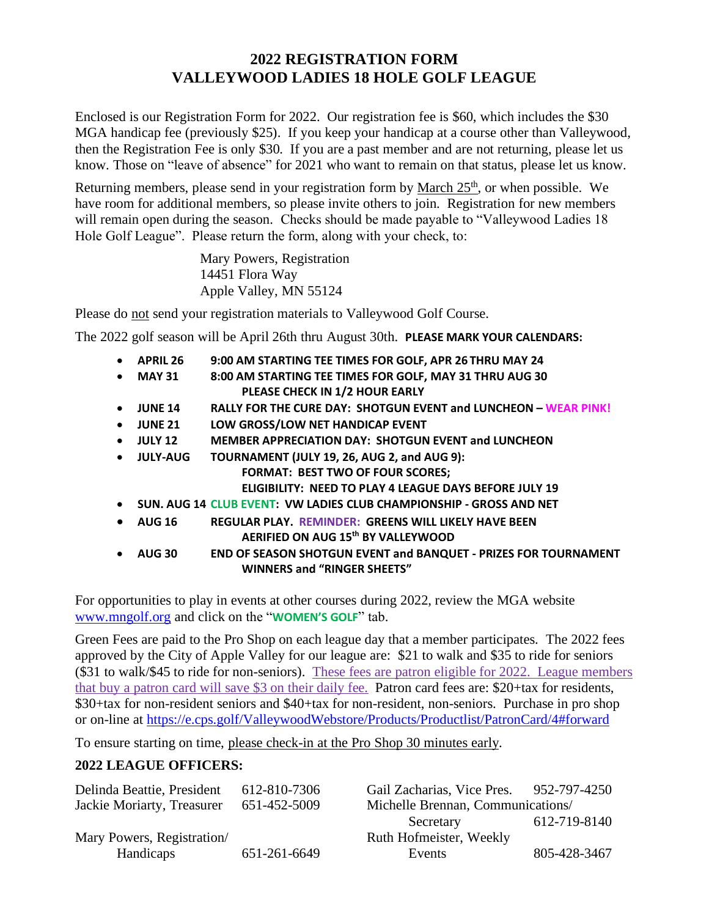## **2022 REGISTRATION FORM VALLEYWOOD LADIES 18 HOLE GOLF LEAGUE**

Enclosed is our Registration Form for 2022. Our registration fee is \$60, which includes the \$30 MGA handicap fee (previously \$25). If you keep your handicap at a course other than Valleywood, then the Registration Fee is only \$30. If you are a past member and are not returning, please let us know. Those on "leave of absence" for 2021 who want to remain on that status, please let us know.

Returning members, please send in your registration form by March 25<sup>th</sup>, or when possible. We have room for additional members, so please invite others to join. Registration for new members will remain open during the season. Checks should be made payable to "Valleywood Ladies 18" Hole Golf League". Please return the form, along with your check, to:

> Mary Powers, Registration 14451 Flora Way Apple Valley, MN 55124

Please do not send your registration materials to Valleywood Golf Course.

The 2022 golf season will be April 26th thru August 30th. **PLEASE MARK YOUR CALENDARS:**

| $\bullet$ | <b>APRIL 26</b> | 9:00 AM STARTING TEE TIMES FOR GOLF, APR 26 THRU MAY 24                |
|-----------|-----------------|------------------------------------------------------------------------|
| $\bullet$ | <b>MAY 31</b>   | 8:00 AM STARTING TEE TIMES FOR GOLF, MAY 31 THRU AUG 30                |
|           |                 | PLEASE CHECK IN 1/2 HOUR EARLY                                         |
| $\bullet$ | <b>JUNE 14</b>  | <b>RALLY FOR THE CURE DAY: SHOTGUN EVENT and LUNCHEON - WEAR PINK!</b> |
| $\bullet$ | <b>JUNE 21</b>  | LOW GROSS/LOW NET HANDICAP EVENT                                       |
| $\bullet$ | <b>JULY 12</b>  | <b>MEMBER APPRECIATION DAY: SHOTGUN EVENT and LUNCHEON</b>             |
| $\bullet$ | <b>JULY-AUG</b> | TOURNAMENT (JULY 19, 26, AUG 2, and AUG 9):                            |
|           |                 | <b>FORMAT: BEST TWO OF FOUR SCORES;</b>                                |
|           |                 | <b>ELIGIBILITY: NEED TO PLAY 4 LEAGUE DAYS BEFORE JULY 19</b>          |
| $\bullet$ |                 | SUN. AUG 14 CLUB EVENT: VW LADIES CLUB CHAMPIONSHIP - GROSS AND NET    |
| $\bullet$ | <b>AUG 16</b>   | <b>REGULAR PLAY. REMINDER: GREENS WILL LIKELY HAVE BEEN</b>            |
|           |                 | AERIFIED ON AUG 15th BY VALLEYWOOD                                     |
|           | <b>AUG 30</b>   | <b>END OF SEASON SHOTGUN EVENT and BANQUET - PRIZES FOR TOURNAMENT</b> |
|           |                 | <b>WINNERS and "RINGER SHEETS"</b>                                     |
|           |                 |                                                                        |

For opportunities to play in events at other courses during 2022, review the MGA website [www.mngolf.org](http://www.mngolf.org/) and click on the "**WOMEN'S GOLF**" tab.

Green Fees are paid to the Pro Shop on each league day that a member participates. The 2022 fees approved by the City of Apple Valley for our league are: \$21 to walk and \$35 to ride for seniors (\$31 to walk/\$45 to ride for non-seniors). These fees are patron eligible for 2022. League members that buy a patron card will save \$3 on their daily fee. Patron card fees are: \$20+tax for residents, \$30+tax for non-resident seniors and \$40+tax for non-resident, non-seniors. Purchase in pro shop or on-line at <https://e.cps.golf/ValleywoodWebstore/Products/Productlist/PatronCard/4#forward>

To ensure starting on time, please check-in at the Pro Shop 30 minutes early.

## **2022 LEAGUE OFFICERS:**

| 612-810-7306 | Gail Zacharias, Vice Pres. 952-797-4250 |              |  |
|--------------|-----------------------------------------|--------------|--|
| 651-452-5009 | Michelle Brennan, Communications/       |              |  |
|              | Secretary                               | 612-719-8140 |  |
|              | Ruth Hofmeister, Weekly                 |              |  |
| 651-261-6649 | Events                                  | 805-428-3467 |  |
|              |                                         |              |  |

| Gail Zacharias, Vice Pres.        | 952-797-4250 |  |
|-----------------------------------|--------------|--|
| Michelle Brennan, Communications/ |              |  |
| Secretary                         | 612-719-8140 |  |
| Ruth Hofmeister, Weekly           |              |  |
| Events                            | 805-428-3467 |  |